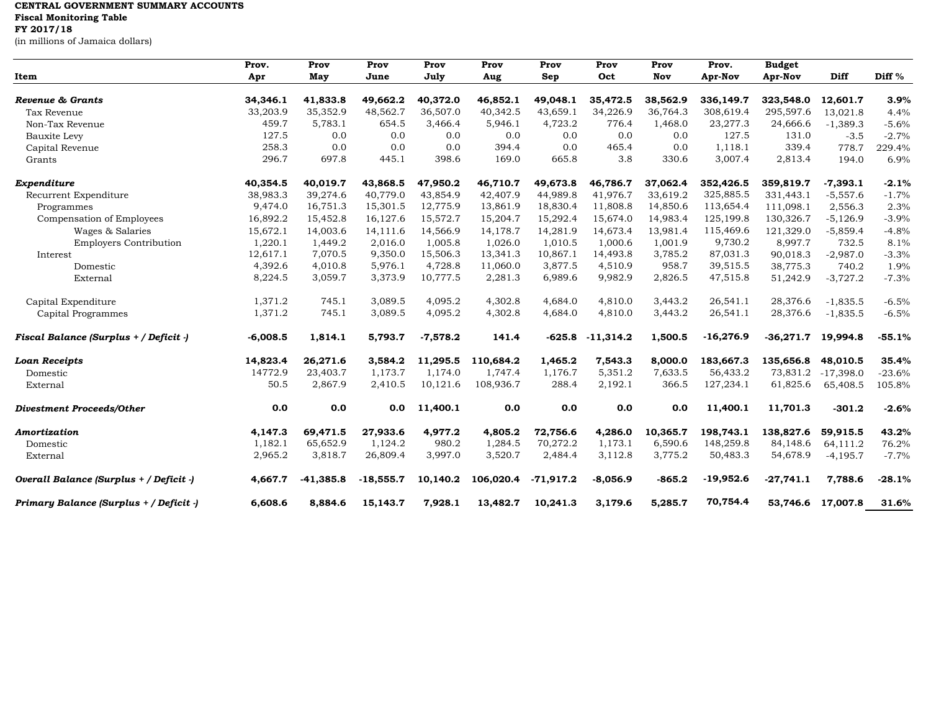## **CENTRAL GOVERNMENT SUMMARY ACCOUNTS Fiscal Monitoring Table FY 2017/18**

(in millions of Jamaica dollars)

|                                         | Prov.      | Prov        | Prov        | Prov       | Prov      | Prov        | Prov        | Prov     | Prov.       | <b>Budget</b> |             |                   |
|-----------------------------------------|------------|-------------|-------------|------------|-----------|-------------|-------------|----------|-------------|---------------|-------------|-------------------|
| Item                                    | Apr        | May         | June        | July       | Aug       | Sep         | Oct         | Nov      | Apr-Nov     | Apr-Nov       | Diff        | Diff <sup>%</sup> |
| Revenue & Grants                        | 34,346.1   | 41,833.8    | 49,662.2    | 40,372.0   | 46,852.1  | 49,048.1    | 35,472.5    | 38,562.9 | 336,149.7   | 323,548.0     | 12,601.7    | 3.9%              |
| Tax Revenue                             | 33,203.9   | 35,352.9    | 48,562.7    | 36,507.0   | 40,342.5  | 43,659.1    | 34,226.9    | 36,764.3 | 308,619.4   | 295,597.6     | 13,021.8    | 4.4%              |
| Non-Tax Revenue                         | 459.7      | 5,783.1     | 654.5       | 3,466.4    | 5,946.1   | 4,723.2     | 776.4       | 1,468.0  | 23,277.3    | 24,666.6      | $-1,389.3$  | $-5.6%$           |
|                                         | 127.5      | 0.0         | 0.0         | 0.0        | 0.0       | 0.0         | 0.0         | 0.0      | 127.5       | 131.0         | $-3.5$      | $-2.7%$           |
| Bauxite Levy                            | 258.3      | 0.0         | 0.0         | 0.0        | 394.4     | 0.0         | 465.4       | 0.0      | 1,118.1     | 339.4         | 778.7       | 229.4%            |
| Capital Revenue                         | 296.7      | 697.8       | 445.1       | 398.6      | 169.0     | 665.8       | 3.8         | 330.6    | 3,007.4     | 2,813.4       |             |                   |
| Grants                                  |            |             |             |            |           |             |             |          |             |               | 194.0       | 6.9%              |
| Expenditure                             | 40,354.5   | 40,019.7    | 43,868.5    | 47,950.2   | 46,710.7  | 49,673.8    | 46,786.7    | 37,062.4 | 352,426.5   | 359,819.7     | $-7,393.1$  | $-2.1%$           |
| Recurrent Expenditure                   | 38,983.3   | 39,274.6    | 40,779.0    | 43,854.9   | 42,407.9  | 44,989.8    | 41,976.7    | 33,619.2 | 325,885.5   | 331,443.1     | $-5,557.6$  | $-1.7%$           |
| Programmes                              | 9,474.0    | 16,751.3    | 15,301.5    | 12,775.9   | 13,861.9  | 18,830.4    | 11,808.8    | 14,850.6 | 113,654.4   | 111,098.1     | 2,556.3     | 2.3%              |
| Compensation of Employees               | 16,892.2   | 15,452.8    | 16,127.6    | 15,572.7   | 15,204.7  | 15,292.4    | 15,674.0    | 14,983.4 | 125,199.8   | 130,326.7     | $-5,126.9$  | $-3.9%$           |
| Wages & Salaries                        | 15,672.1   | 14,003.6    | 14,111.6    | 14,566.9   | 14,178.7  | 14,281.9    | 14,673.4    | 13,981.4 | 115,469.6   | 121,329.0     | $-5,859.4$  | $-4.8%$           |
| <b>Employers Contribution</b>           | 1,220.1    | 1,449.2     | 2,016.0     | 1,005.8    | 1,026.0   | 1,010.5     | 1,000.6     | 1,001.9  | 9,730.2     | 8,997.7       | 732.5       | 8.1%              |
| Interest                                | 12,617.1   | 7,070.5     | 9,350.0     | 15,506.3   | 13,341.3  | 10,867.1    | 14,493.8    | 3,785.2  | 87,031.3    | 90,018.3      | $-2,987.0$  | $-3.3%$           |
| Domestic                                | 4,392.6    | 4,010.8     | 5,976.1     | 4,728.8    | 11,060.0  | 3,877.5     | 4,510.9     | 958.7    | 39,515.5    | 38,775.3      | 740.2       | 1.9%              |
| External                                | 8,224.5    | 3,059.7     | 3,373.9     | 10,777.5   | 2,281.3   | 6,989.6     | 9,982.9     | 2,826.5  | 47,515.8    | 51,242.9      | $-3,727.2$  | $-7.3%$           |
| Capital Expenditure                     | 1,371.2    | 745.1       | 3,089.5     | 4,095.2    | 4,302.8   | 4,684.0     | 4,810.0     | 3,443.2  | 26,541.1    | 28,376.6      | $-1,835.5$  | $-6.5%$           |
| Capital Programmes                      | 1,371.2    | 745.1       | 3,089.5     | 4,095.2    | 4,302.8   | 4,684.0     | 4,810.0     | 3,443.2  | 26,541.1    | 28,376.6      | $-1,835.5$  | $-6.5%$           |
| Fiscal Balance (Surplus + / Deficit -)  | $-6,008.5$ | 1,814.1     | 5,793.7     | $-7,578.2$ | 141.4     | $-625.8$    | $-11,314.2$ | 1,500.5  | $-16,276.9$ | $-36,271.7$   | 19,994.8    | $-55.1%$          |
| <b>Loan Receipts</b>                    | 14,823.4   | 26,271.6    | 3,584.2     | 11,295.5   | 110,684.2 | 1,465.2     | 7,543.3     | 8,000.0  | 183,667.3   | 135,656.8     | 48,010.5    | 35.4%             |
| Domestic                                | 14772.9    | 23,403.7    | 1,173.7     | 1,174.0    | 1,747.4   | 1,176.7     | 5,351.2     | 7,633.5  | 56,433.2    | 73,831.2      | $-17,398.0$ | $-23.6%$          |
| External                                | 50.5       | 2,867.9     | 2,410.5     | 10,121.6   | 108,936.7 | 288.4       | 2,192.1     | 366.5    | 127,234.1   | 61,825.6      | 65,408.5    | 105.8%            |
| <b>Divestment Proceeds/Other</b>        | 0.0        | 0.0         | 0.0         | 11,400.1   | 0.0       | 0.0         | 0.0         | 0.0      | 11,400.1    | 11,701.3      | $-301.2$    | $-2.6%$           |
| Amortization                            | 4,147.3    | 69,471.5    | 27,933.6    | 4,977.2    | 4,805.2   | 72,756.6    | 4,286.0     | 10,365.7 | 198,743.1   | 138,827.6     | 59,915.5    | 43.2%             |
| Domestic                                | 1,182.1    | 65,652.9    | 1,124.2     | 980.2      | 1,284.5   | 70,272.2    | 1,173.1     | 6,590.6  | 148,259.8   | 84,148.6      | 64,111.2    | 76.2%             |
| External                                | 2,965.2    | 3,818.7     | 26,809.4    | 3,997.0    | 3,520.7   | 2,484.4     | 3,112.8     | 3,775.2  | 50,483.3    | 54,678.9      | $-4,195.7$  | $-7.7%$           |
| Overall Balance (Surplus + / Deficit -) | 4,667.7    | $-41,385.8$ | $-18,555.7$ | 10,140.2   | 106,020.4 | $-71,917.2$ | $-8,056.9$  | $-865.2$ | $-19,952.6$ | $-27,741.1$   | 7,788.6     | $-28.1%$          |
| Primary Balance (Surplus + / Deficit -) | 6,608.6    | 8,884.6     | 15,143.7    | 7,928.1    | 13,482.7  | 10,241.3    | 3,179.6     | 5,285.7  | 70,754.4    | 53.746.6      | 17.007.8    | 31.6%             |